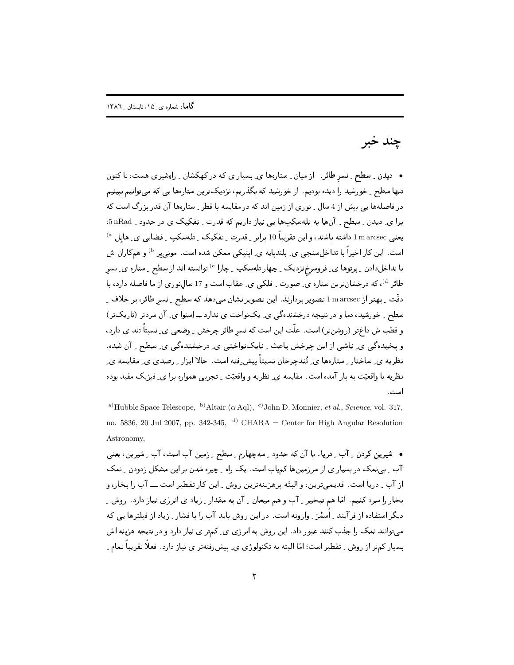## چند خبر

• دیدن ِ سطح ِ نِسرِ طائر. از میان ِ ستارهها ی ِ بِسیار ی که در کهکشان ِ راهِشیری هست، تا کنون تنها سطح ِ خورشید را دیده بودیم. از خورشید که بگذریم، نزدیکترین ستارهها یی که میتوانیم ببینیم در فاصلهها یی بیش از 4 سال \_ نوری از زمین اند که در مقایسه با قطر \_ ستارهها آن قدر بزرگ است که برا ی ِ دیدن ِ سطح ِ آنها به تلهسکپها یی نیاز داریم که قدرت ِ تفکیک ی در حدود ِ 5nRad، یعنی marcsec داشته باشند، و این تقریباً 10 برابر \_ قدرت \_ تفکیک \_ تلهسکپ \_ فضایی ی\_ هابل <sup>ه)</sup> است. این کار اخیراً با تداخلِسنجی ی ِ بلندیایه ی ِ ایتیکی ممکن شده است. مونی پر <sup>b)</sup> و همکاران ش با تداخلدادن <sub>-</sub> پرتوها ی ِ فروسرخززدیک <sub>-</sub> چهار تلهسکپ <sub>-</sub> چارا <sup>c</sup> توانسته اند از سطح <sub>-</sub> ستاره ی ِ نسر طائر <sup>4)</sup>، که درخشانترین ستاره ی ِ صورت ِ فلکی ی ِ عقاب است و 17 سال نوری از ما فاصله دارد، با دقّت \_ بهتر از l m arcsec تصوير بردارند. اين تصوير نشان مىدهد كه سطح \_ نسر طائر، بر خلاف \_ سطح ِ خورشید، دما و در نتیجه درخشندهگی ی ِ یکنواخت ی ندارد ــ اِستوا ی ِ آن سردتر (تاریکتر) و قطب ش داغتر (روشنتر) است. علَّت این است که نسر طائر چرخش ِ وضعی ی ِ نسبتاً تند ی دارد، و پخیدهگی ی ِ ناشی از این چرخش باعث ِ نایکنواختی ی ِ درخشندهگی ی ِ سطح ِ ِ آن شده. نظریه ی ِ ساختار ِ ستارهها ی ِ تُندچرخان نسبتاً پیش ِفته است. حالا ابزار ِ رصدی ی ِ مقایسه ی ِ نظریه با واقعیّت به بار آمده است. مقایسه ی ِ نظریه و واقعیّت ِ تجربی همواره برا ی ِ فیزیک مفید بوده است.

<sup>a)</sup>Hubble Space Telescope, <sup>b)</sup>Altair ( $\alpha$  Aql), <sup>c</sup>)John D. Monnier, *et al., Science*, vol. 317, no. 5836, 20 Jul 2007, pp. 342-345, <sup>d)</sup> CHARA = Center for High Angular Resolution Astronomy,

• شیرین کردن ِ آب ِ دریا. با آن که حدود ِ سهچهارم ِ سطح ِ زمین آبِ است، آب ِ شیرین، یعنی آب ِ بی نمک در بسیار ی از سرزمینها کمپاب است. یک راه ِ چیره شدن بر این مشکل زدودن ِ نمک از آب ِ دریا است. قدیمیترین، و البتّه پرهزینهترین روش ِ این کار تقطیر است ـــ آب را بخار، و بخار را سرد کنیم. امّا هم تبخیر به آب و هم میعان به آن به مقدار به زیاد ی انرژی نیاز دارد. روش به دیگر استفاده از فرآیند ِ اُسمُز ِ وارونه است. در این روش باید آب را با فشار ِ زیاد از فیلترها یی که میتوانند نمک را جذب کنند عبور داد. این روش به انرژی ی ِ کمتر ی نیاز دارد و در نتیجه هزینه اش بسیار کمتر از روش ِ تقطیر است؛ امّا البته به تکنولوژی ی ِ پیش ِرفتهتر ی نیاز دارد. فعلاً تقریباً تمام ِ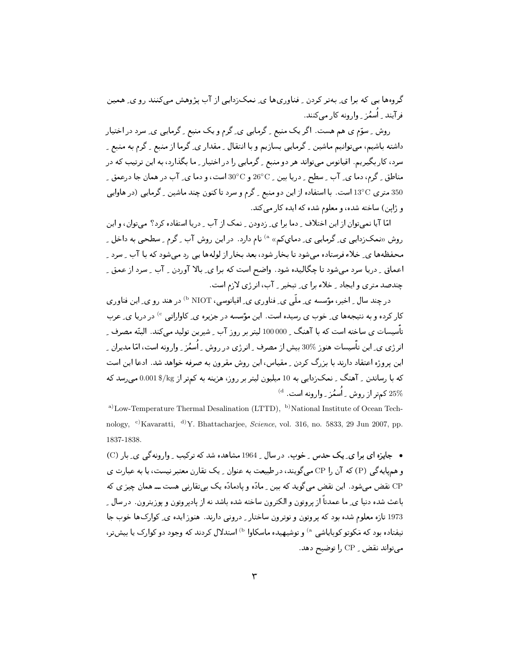گروهها یے ،که برا ی ِ بهتر کردن ِ فناوریها ی ِ نمک(دایی از آب پژوهش میکنند رو ی ِ همین ف آیند - اُسمُن - وارونه کار می کنند.

روش ِ سوَّم ی هم هست. اگر یک منبع ِ گرمایی ی ِ گرم و یک منبع ِ گرمایی ی ِ سرد در اختیار داشته باشیم، میتوانیم ماشین <sub>-</sub> گرمایی بسازیم و با انتقال <sub>-</sub> مقدار ی<sub>-</sub> گرما از منبع <sub>-</sub> گرم به منبع <sub>-</sub> سرد، کار بگیریم. اقیانوس میتواند هر دو منبع <sub>-</sub> گرمایی را در اختیار <sub>-</sub> ما بگذارد، به این ترتیب که در مناطق \_ گرم، دما ي\_ آب \_ سطح \_ دريا بين \_ 6°20 و 0°30 است، و دما ي\_ آب در همان جا درعمق \_ 350 متری U3°C است. با استفاده از این دو منبع <sub>-</sub> گرم و سرد تا کنون چند ماشین <sub>-</sub> گرمایی (در هاوایی و ژاپن) ساخته شده، و معلوم شده که ایده کار می کند.

امّا آیا نمی توان از این اختلاف ِ دما برا ی ِ زدودن ِ نمک از آب ِ دریا استفاده کرد؟ می توان، و این روش «نمکزدایی ی ِ گرمایی ی ِ دمایکم» <sup>۵)</sup> نام دارد. در این روش آب ِ گرم ِ سطحی به داخل ِ ِ محفظهها ی ِ خلاءفرستاده میشود تا بخار شود، بعد بخار از لولهها یی رد میشود که با آب ِ سرد ِ اعماق ِ دریا سرد میشود تا چگالیده شود. واضح است که برا ی ِ بالا آوردن ِ آب ِ سرد ازعمق ِ چندصد متری و ایجاد به خلاء برا ی ِ تبخیر به آب، انرژی لازم است.

در چند سال ِ اخیر، مؤسسه ی ِ ملّی ی ِ فناوری ی ِ اقیانوسی، NIOT <sup>را)</sup> در هند رو ی ِ این فناوری کار کرده و به نتیجهها ی ِ خوب ی رسیده است. این مؤسسه در جزیره ی ِ کاواراتی <sup>c)</sup> در دریا ی ِ عرب تأسیسات ی ساخته است که با آهنگ <sub>۔</sub> 000 000 لیتر بر روز آب ِ شیرین تولید میکند. البتّه مصرف ِ انرژی ی ِ این تأسیسات هنوز %30 بیش از مصرف ِ انرژی در روش ِ اُسمُز ِ وارونه است، امّا مدیران ِ ِ این پروژه اعتقاد دارند با بزرگ کردن <sub>-</sub> مقیاس، این روش مقرون به صرفه خواهد شد. ادعا این است که با رساندن <sub>-</sub> آهنگ <sub>-</sub> نمک;دایی به 10 میلیون لیتر بر روز، هزینه به کمتر از 0.001\$ 0.001 می,رسد که  $^{(d)}$  کمتر از روش با اُسمُز بـ وارونه است.  $^{(d)}$ 

a)Low-Temperature Thermal Desalination (LTTD), <sup>b)</sup>National Institute of Ocean Technology, <sup>c)</sup>Kavaratti, <sup>d)</sup>Y. Bhattacharjee, *Science*, vol. 316, no. 5833, 29 Jun 2007, pp. 1837-1838.

• جایزه ای برا ی یک حدس ِ خوب. در سال 1964 مشاهده شد که ترکیب ِ وارونهگی ی بار (C) و همپایهگی (P) که آن را CP میگویند، در طبیعت به عنوان ِ یک تقارن معتبر نیست، یا به عبارت ی CP نقض میشود. این نقض میگوید که بین ِ مادّه و یادمادّه یک بیتقارنی هست ـــ همان چیز ی که باعث شده دنیا ی ِ ما عمدتاً از یروتون و الکترون ساخته شده باشد نه از پادپروتون و پوزیترون. در سال ِ 1973 تازه معلوم شده بود که پروتون و نوترون ساختار ٍ درونی دارند. هنوز ایده ی ِ کوارکها خوب جا نیفتاده بود که مَکوتو کوبایاشی <sup>۵</sup> و توشیهیده ماسکاوا <sup>۱</sup><sup>b)</sup> استدلال کردند که وجود دو کوارک یا بیش *تر*، می تواند نقض \_ CP را توضیح دهد.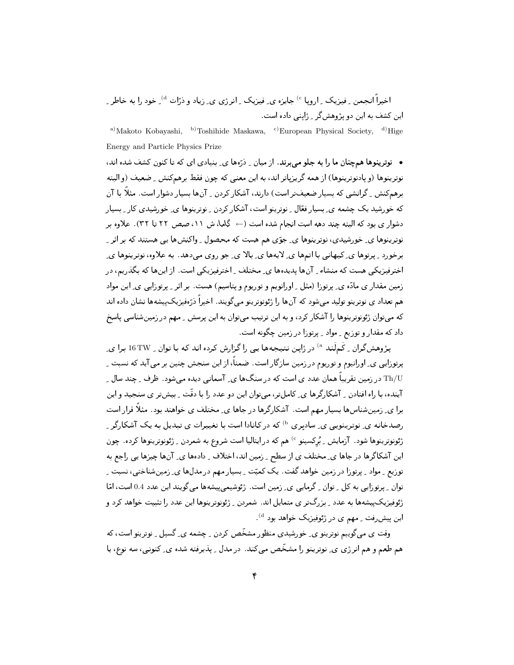اخیراً انجمن ِ فیزیک ِ اروپا °′ جایزه ی ِ فیزیک ِ انرژی ی ِ زیاد و ذرّات <sup>d)</sup> ِ خود را به خاطر ِ ِ این کشف به این دو پژوهش گر - ژاپنی داده است.

<sup>a)</sup>Makoto Kobayashi, <sup>b)</sup>Toshihide Maskawa, <sup>c)</sup>European Physical Society, <sup>d)</sup>Hige Energy and Particle Physics Prize

• نوترینوها همچنان ما را به جلو می برند. از میان ِ دُرَّهها ی ِ بنیادی ای که تا کنون کشف شده اند، نوترينوها (و بادنوترينوها) از همه گريزباتر اند، به اين معنى كه چون فقط برهم كنش \_ ضعيف (و البته برهمکنش ِ گرانشی که بسیار ضعیفتر است) دارند، آشکار کردن ِ آنها بسیار دشوار است. مثلاً با آن که خورشید یک چشمه ی ِ بسیار فعّال ِ ِ نوترینو است، آشکار کردن ِ ِ نوترینوها ی ِ خورشیدی کار ِ بِسیار دشوار ی بود که البته چند دهه است انجام شده است (← گاما، ش ١١، صص ٢٢ تا ٣٢). علاوه بر نوترینوها ی ِ خورشیدی، نوترینوها ی ِ جوّی هم هست که محصول ِ واکنشها یی هستند که بر اثر ِ برخورد ِ پرتوها ی ِ کیهانی با اتمها ی ِ لایهها ی ِ بالا ی ِ جو روی میدهد. به علاوه، نوترینوها ی ِ اخترفیزیکی هست که منشاء ِ آنها پدیدهها ی ِ مختلف ِ اخترفیزیکی است. از اینها که بگذریم، در زمین مقدار ی مادّه ی ِ پرتوزا (مثل ِ اورانویم و توریوم و پتاسیم) هست. بر اثر ِ پرتوزایی ی ِ این مواد هم تعداد ی نوترینو تولید میشود که آنها را ژئونوترینو میگویند. اخیراً درّهفیزیکییشهها نشان داده اند که میتوان ژئونوترینوها را آشکار کرد، و به این ترتیب میتوان به این پرسش ِ مهم در زمینشناسی پاسخ داد که مقدار و توزیع ـ مواد ـ پرتوزا در زمین چگونه است.

پژوهشگران <sub>-</sub> کَمِلَند <sup>۵)</sup> در ژاپن نتیجهها یی را گزارش کرده اند که با توان <sub>-</sub> 16TW برا ی۔ یرتورایی ی ِ اورانیوم و توریوم در زمین سازگار است. ضمناً، از این سنجش چنین بر می آید که نسبت ِ Th/U در زمین تقریباً همان عدد ی است که در سنگها ی ِ آسمانی دیده می شود . ظرف ِ حِند سال ِ ِ آینده، با راه افتادن <sub>-</sub> آشکارگرها ی ِ کاملتر، میتوان این دو عدد را با دقّت <sub>-</sub> بیشتر ی سنجید و این برا ی ِ زمینشناسها بسیار مهم است. آشکارگرها در جاها ی ِ مختلف ی خواهند بود. مثلاً قرار است رصدخانه ی ِ نوترینویی ی ِ سادبری <sup>b)</sup> که در کانادا است با تغییرات ی تبدیل به یک آشکارگر ِ ژئونوترینوها شود. آزمایش ِ بُرکسینو <sup>c)</sup> هم که در ایتالیا است شروع به شمردن ِ ژئونوترینوها کرده. چون این آشکاگرها در جاها ی ِ مختلف ی از سطح ِ زمین اند، اختلاف ِ دادهها ی ِ آنها چیزها یی راجع به توزیع ِ ِ مواد ِ پرتوزا در زمین خواهد گفت. یک کمیّت ِ بِسیار مهم در مدلها ی ِ زمینشناختی، نسبت ِ توان ِ پرتوزایی به کل ِ توان ِ گرمایی ی ِ زمین است. ژئوشیمی پیشهها می گویند این عدد 0.4 است، امّا ژئوفیزیک پیشهها به عدد ِ بزرگتر ی متمایل اند. شمردن ِ ژئونوترینوها این عدد را تثبیت خواهد کرد و این پیش رفت ِ مهم ی در ژئوفیزیک خواهد بود <sup>d</sup>).

وقت ی میگوییم نوترینو ی ِ خورشیدی منظور مشخّص کردن ِ چشمه ی ِ گسیل ِ نوترینو است، که هم طعم و هم انرژی ی ِ نوترینو را مشخّص میکند. در مدل ِ پذیرفته شده ی ِ کنونی، سه نوع، یا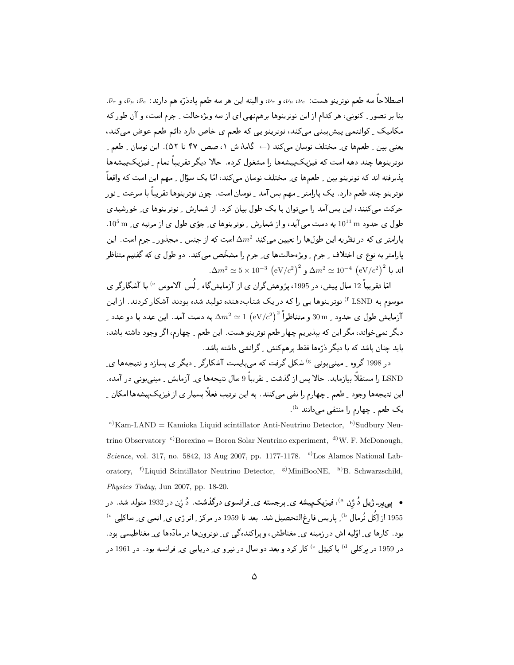اصطلاحاً سه طعم نوترينو هست:  $\nu_e$ ،  $\nu_\mu$ ، و  $\nu_\tau$ ، و البته اين هر سه طعم پادذرّه هم دارند:  $\bar{\nu}_e$ ، و  $\bar{\nu}_\tau$ . بنا بر تصور ِ کنونی، هر کدام از این نوترینوها برهمنهی ای از سه ویژهحالت ِ جرم است، و آن طور که مکانیک \_ کوانتمی پیش بینی می کند، نوترینو یی که طعم ی خاص دارد دائم طعم عوض می کند، یعنی بین ِ طعمها ی ِ مختلف نوسان می کند (← گاما، ش ۱، صص ۴۷ تا ۵۲). این نوسان ِ طعم ِ نوترینوها چند دهه است که فیزیک پیشهها را مشغول کرده. حالا دیگر تقریباً تمام ِ فیزیک پیشهها پذیرفته اند که نوترینو بین ِ طعمها ی ِ مختلف نوسان می کند، امّا یک سؤال ِ مهم این است که واقعاً نوترینو چند طعم دارد . یک پارامتر ِ مهم بسآمد ِ نوسان است. چون نوترینوها تقریباً با سرعت ِ نور حرکت میکنند، این بس آمد را میتوان با یک طول بیان کرد. از شمارش ِ نوترینوها ی ِ خورشیدی  $10^5$   $\rm m$  طول ی حدود  $10^{11}$  به دست می آید، و از شمارش ِ نوترینوها ی ِ جوّی طول ی از مرتبه ی  $10^5$  . یارامتر ی که در نظریه این طولها را تعیین میکند  $\Delta m^2$  است که از جنس <sub>-</sub> مجذور <sub>-</sub> جرم است. این پارامتر به نوع ی اختلاف ِ جرم ِ ویژهحالتها ی ِ جرم را مشخّص میکند. دو طول ی که گفتیم متناظر  $\Delta m^2 \simeq 5 \times 10^{-3} \left( {\rm eV}/c^2 \right)^2$  ہ $\Delta m^2 \simeq 10^{-4} \left( {\rm eV}/c^2 \right)^2$  اند یا

امّا تقریباً 12 سال پیش، در 1995، پژوهش گران ی از آزمایش گاه بِ لُس آلاموس <sup>6</sup> با آشگارگر ی موسوم به LSND <sup>)</sup> نوترینوها یی را که در یک شتابدهنده تولید شده بودند آشکار کردند. از این ـ آزمایش طول ی حدود  $30\,\mathrm{m}$  و متناظراً  $\mathrm{eV}/c^2\big)^2 \simeq 1\,\left(\mathrm{eV}/c^2\right)^2$  آزمایش طول ی حدود  $30\,\mathrm{m}$  و متناظراً  $\mathrm{eV}/c^2$ دیگر نمیخواند، مگر این که بپذیریم چهار طعم نوترینو هست. این طعم ِ چهارم، اگر وجود داشته باشد، باید چنان باشد که با دیگر ذرَّهها فقط برهمکنش ِ گرانشی داشته باشد.

در 1998 گروہ - مینے ہونی <sup>6</sup>) شکل گرفت که مے بایست آشکارگر <sub>-</sub> دیگر ی بسازد و نتیجهها ی۔ LSND را مستقلاً بیازماید. حالا پس از گذشت -ِ تقریباً 9 سال نتیجهها ی ِ آزمایش -ِ مینی بونی در آمده. این نتیجهها وجود \_ طعم \_ چهارم را نفي ميكنند. به اين ترتيب فعلاً بسيار ي از فيزيك،ييشهها امكان \_ یک طعم <sub>-</sub> چهارم را منتفی می دانند <sup>h)</sup>.

<sup>a)</sup> Kam-LAND = Kamioka Liquid scintillator Anti-Neutrino Detector, <sup>b)</sup>Sudbury Neutrino Observatory <sup>c</sup> Borexino = Boron Solar Neutrino experiment, <sup>d</sup>)W. F. McDonough, Science, vol. 317, no. 5842, 13 Aug 2007, pp. 1177-1178. <sup>e)</sup>Los Alamos National Laboratory, <sup>f)</sup>Liquid Scintillator Neutrino Detector, <sup>g)</sup>MiniBooNE, <sup>h)</sup>B. Schwarzschild, Physics Today, Jun 2007, pp.  $18-20$ .

• يې يېر- ژيل دُ ژن <sup>a)</sup>، فيزيکيپيشه ي ِ برجسته ي ِ فرانسوي درگذشت. دُ ژن در 1932 متولد شد. در 1955 از اِكُل نُرمال <sup>6</sup>) پاریس فارغالتحصیل شد. بعد تا 1959 در مرکز <sub>ب</sub>انرژی ی ِ اتمی ی ِ ساکلِی <sup>6</sup>) بود. کارها ی ِ اوّلیه اش در زمینه ی ِ مغناطش، و پراکندهگی ی ِ نوترونها در مادّهها ی ِ مغناطیسی بود. در 1959 در برکلی <sup>d)</sup> با کیتِل <sup>e)</sup> کار کرد و بعد دو سال در نیرو ی ِ دریایی ی ِ فرانسه بود . در 1961 در